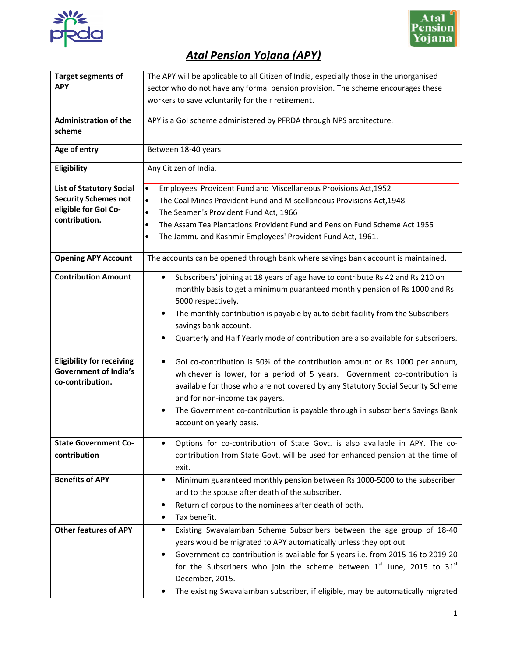



## *Atal Pension Yojana (APY)*

| <b>Target segments of</b>        | The APY will be applicable to all Citizen of India, especially those in the unorganised       |  |  |  |  |  |  |  |  |
|----------------------------------|-----------------------------------------------------------------------------------------------|--|--|--|--|--|--|--|--|
| <b>APY</b>                       | sector who do not have any formal pension provision. The scheme encourages these              |  |  |  |  |  |  |  |  |
|                                  | workers to save voluntarily for their retirement.                                             |  |  |  |  |  |  |  |  |
|                                  |                                                                                               |  |  |  |  |  |  |  |  |
| <b>Administration of the</b>     | APY is a GoI scheme administered by PFRDA through NPS architecture.                           |  |  |  |  |  |  |  |  |
| scheme                           |                                                                                               |  |  |  |  |  |  |  |  |
| Age of entry                     | Between 18-40 years                                                                           |  |  |  |  |  |  |  |  |
| Eligibility                      | Any Citizen of India.                                                                         |  |  |  |  |  |  |  |  |
|                                  |                                                                                               |  |  |  |  |  |  |  |  |
| <b>List of Statutory Social</b>  | Employees' Provident Fund and Miscellaneous Provisions Act, 1952<br>$\bullet$                 |  |  |  |  |  |  |  |  |
| <b>Security Schemes not</b>      | The Coal Mines Provident Fund and Miscellaneous Provisions Act, 1948<br>$\bullet$             |  |  |  |  |  |  |  |  |
| eligible for Gol Co-             | $\bullet$<br>The Seamen's Provident Fund Act, 1966                                            |  |  |  |  |  |  |  |  |
| contribution.                    | The Assam Tea Plantations Provident Fund and Pension Fund Scheme Act 1955<br>$\bullet$        |  |  |  |  |  |  |  |  |
|                                  | The Jammu and Kashmir Employees' Provident Fund Act, 1961.<br>$\bullet$                       |  |  |  |  |  |  |  |  |
|                                  |                                                                                               |  |  |  |  |  |  |  |  |
| <b>Opening APY Account</b>       | The accounts can be opened through bank where savings bank account is maintained.             |  |  |  |  |  |  |  |  |
| <b>Contribution Amount</b>       | Subscribers' joining at 18 years of age have to contribute Rs 42 and Rs 210 on<br>$\bullet$   |  |  |  |  |  |  |  |  |
|                                  | monthly basis to get a minimum guaranteed monthly pension of Rs 1000 and Rs                   |  |  |  |  |  |  |  |  |
|                                  | 5000 respectively.                                                                            |  |  |  |  |  |  |  |  |
|                                  | The monthly contribution is payable by auto debit facility from the Subscribers<br>$\bullet$  |  |  |  |  |  |  |  |  |
|                                  | savings bank account.                                                                         |  |  |  |  |  |  |  |  |
|                                  | Quarterly and Half Yearly mode of contribution are also available for subscribers.            |  |  |  |  |  |  |  |  |
|                                  |                                                                                               |  |  |  |  |  |  |  |  |
| <b>Eligibility for receiving</b> | Gol co-contribution is 50% of the contribution amount or Rs 1000 per annum,<br>$\bullet$      |  |  |  |  |  |  |  |  |
| <b>Government of India's</b>     | whichever is lower, for a period of 5 years. Government co-contribution is                    |  |  |  |  |  |  |  |  |
| co-contribution.                 | available for those who are not covered by any Statutory Social Security Scheme               |  |  |  |  |  |  |  |  |
|                                  | and for non-income tax payers.                                                                |  |  |  |  |  |  |  |  |
|                                  | The Government co-contribution is payable through in subscriber's Savings Bank<br>$\bullet$   |  |  |  |  |  |  |  |  |
|                                  | account on yearly basis.                                                                      |  |  |  |  |  |  |  |  |
|                                  |                                                                                               |  |  |  |  |  |  |  |  |
| <b>State Government Co-</b>      | Options for co-contribution of State Govt. is also available in APY. The co-                  |  |  |  |  |  |  |  |  |
| contribution                     | contribution from State Govt. will be used for enhanced pension at the time of                |  |  |  |  |  |  |  |  |
|                                  | exit.                                                                                         |  |  |  |  |  |  |  |  |
| <b>Benefits of APY</b>           | Minimum guaranteed monthly pension between Rs 1000-5000 to the subscriber<br>$\bullet$        |  |  |  |  |  |  |  |  |
|                                  | and to the spouse after death of the subscriber.                                              |  |  |  |  |  |  |  |  |
|                                  | Return of corpus to the nominees after death of both.<br>$\bullet$                            |  |  |  |  |  |  |  |  |
|                                  | Tax benefit.<br>٠                                                                             |  |  |  |  |  |  |  |  |
| <b>Other features of APY</b>     | Existing Swavalamban Scheme Subscribers between the age group of 18-40<br>$\bullet$           |  |  |  |  |  |  |  |  |
|                                  | years would be migrated to APY automatically unless they opt out.                             |  |  |  |  |  |  |  |  |
|                                  |                                                                                               |  |  |  |  |  |  |  |  |
|                                  | Government co-contribution is available for 5 years i.e. from 2015-16 to 2019-20<br>$\bullet$ |  |  |  |  |  |  |  |  |
|                                  | for the Subscribers who join the scheme between $1^{st}$ June, 2015 to $31^{st}$              |  |  |  |  |  |  |  |  |
|                                  | December, 2015.                                                                               |  |  |  |  |  |  |  |  |
|                                  | The existing Swavalamban subscriber, if eligible, may be automatically migrated<br>$\bullet$  |  |  |  |  |  |  |  |  |